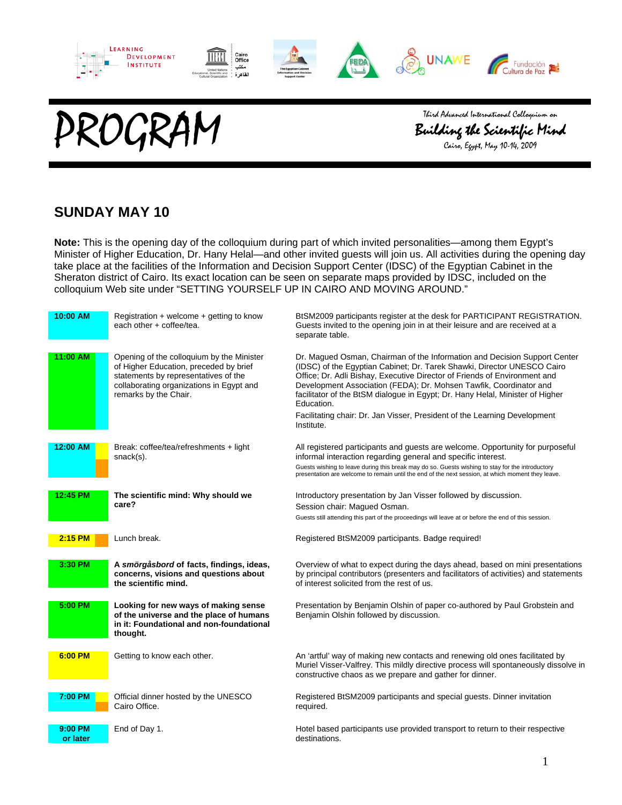

Third Advanced International Colloquium on<br>Building the Scientific Min<br>Cairo, Egypt, May 10–14, 2009



#### **SUNDAY MAY 10**

**Note:** This is the opening day of the colloquium during part of which invited personalities—among them Egypt's Minister of Higher Education, Dr. Hany Helal—and other invited guests will join us. All activities during the opening day take place at the facilities of the Information and Decision Support Center (IDSC) of the Egyptian Cabinet in the Sheraton district of Cairo. Its exact location can be seen on separate maps provided by IDSC, included on the colloquium Web site under "SETTING YOURSELF UP IN CAIRO AND MOVING AROUND."

| 10:00 AM  | Registration + welcome + getting to know<br>each other + coffee/tea.                                                                                                                             | BtSM2009 participants register at the desk for PARTICIPANT REGISTRATION.<br>Guests invited to the opening join in at their leisure and are received at a<br>separate table.                                                                                                                                                                                                                                                                                                         |
|-----------|--------------------------------------------------------------------------------------------------------------------------------------------------------------------------------------------------|-------------------------------------------------------------------------------------------------------------------------------------------------------------------------------------------------------------------------------------------------------------------------------------------------------------------------------------------------------------------------------------------------------------------------------------------------------------------------------------|
| 11:00 AM  | Opening of the colloquium by the Minister<br>of Higher Education, preceded by brief<br>statements by representatives of the<br>collaborating organizations in Egypt and<br>remarks by the Chair. | Dr. Magued Osman, Chairman of the Information and Decision Support Center<br>(IDSC) of the Egyptian Cabinet; Dr. Tarek Shawki, Director UNESCO Cairo<br>Office; Dr. Adli Bishay, Executive Director of Friends of Environment and<br>Development Association (FEDA); Dr. Mohsen Tawfik, Coordinator and<br>facilitator of the BtSM dialogue in Egypt; Dr. Hany Helal, Minister of Higher<br>Education.<br>Facilitating chair: Dr. Jan Visser, President of the Learning Development |
|           |                                                                                                                                                                                                  | Institute.                                                                                                                                                                                                                                                                                                                                                                                                                                                                          |
| 12:00 AM  | Break: coffee/tea/refreshments + light<br>snack(s).                                                                                                                                              | All registered participants and guests are welcome. Opportunity for purposeful<br>informal interaction regarding general and specific interest.                                                                                                                                                                                                                                                                                                                                     |
|           |                                                                                                                                                                                                  | Guests wishing to leave during this break may do so. Guests wishing to stay for the introductory<br>presentation are welcome to remain until the end of the next session, at which moment they leave.                                                                                                                                                                                                                                                                               |
| 12:45 PM  | The scientific mind: Why should we                                                                                                                                                               | Introductory presentation by Jan Visser followed by discussion.                                                                                                                                                                                                                                                                                                                                                                                                                     |
|           | care?                                                                                                                                                                                            | Session chair: Magued Osman.                                                                                                                                                                                                                                                                                                                                                                                                                                                        |
|           |                                                                                                                                                                                                  | Guests still attending this part of the proceedings will leave at or before the end of this session.                                                                                                                                                                                                                                                                                                                                                                                |
| $2:15$ PM | Lunch break.                                                                                                                                                                                     | Registered BtSM2009 participants. Badge required!                                                                                                                                                                                                                                                                                                                                                                                                                                   |
| 3:30 PM   | A smörgåsbord of facts, findings, ideas,<br>concerns, visions and questions about                                                                                                                | Overview of what to expect during the days ahead, based on mini presentations                                                                                                                                                                                                                                                                                                                                                                                                       |
|           | the scientific mind.                                                                                                                                                                             | by principal contributors (presenters and facilitators of activities) and statements<br>of interest solicited from the rest of us.                                                                                                                                                                                                                                                                                                                                                  |
| 5:00 PM   | Looking for new ways of making sense<br>of the universe and the place of humans<br>in it: Foundational and non-foundational<br>thought.                                                          | Presentation by Benjamin Olshin of paper co-authored by Paul Grobstein and<br>Benjamin Olshin followed by discussion.                                                                                                                                                                                                                                                                                                                                                               |
| 6:00 PM   | Getting to know each other.                                                                                                                                                                      | An 'artful' way of making new contacts and renewing old ones facilitated by<br>Muriel Visser-Valfrey. This mildly directive process will spontaneously dissolve in<br>constructive chaos as we prepare and gather for dinner.                                                                                                                                                                                                                                                       |
| 7:00 PM   | Official dinner hosted by the UNESCO<br>Cairo Office.                                                                                                                                            | Registered BtSM2009 participants and special guests. Dinner invitation<br>required.                                                                                                                                                                                                                                                                                                                                                                                                 |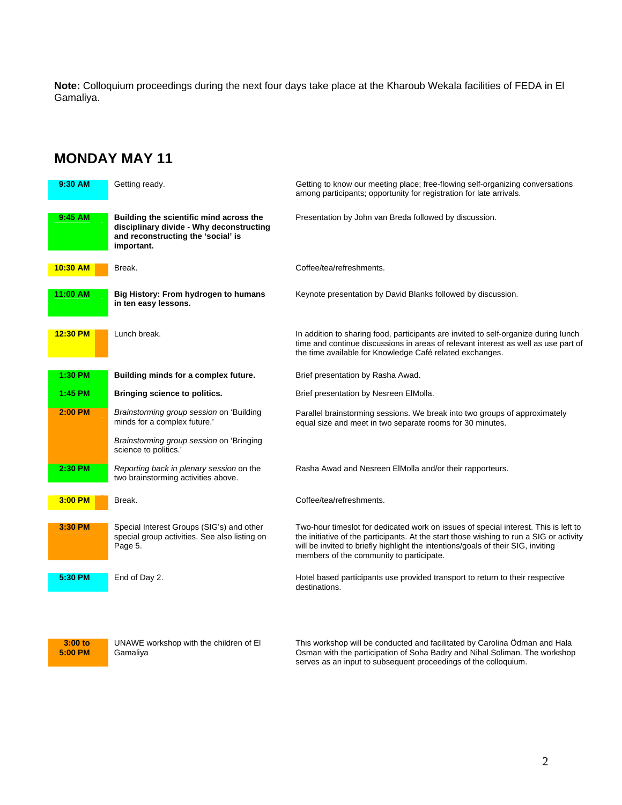**Note:** Colloquium proceedings during the next four days take place at the Kharoub Wekala facilities of FEDA in El Gamaliya.

## **MONDAY MAY 11**

| 9:30 AM    | Getting ready.                                                                                                                          | Getting to know our meeting place; free-flowing self-organizing conversations<br>among participants; opportunity for registration for late arrivals.                                                                                                                                                           |
|------------|-----------------------------------------------------------------------------------------------------------------------------------------|----------------------------------------------------------------------------------------------------------------------------------------------------------------------------------------------------------------------------------------------------------------------------------------------------------------|
| 9:45 AM    | Building the scientific mind across the<br>disciplinary divide - Why deconstructing<br>and reconstructing the 'social' is<br>important. | Presentation by John van Breda followed by discussion.                                                                                                                                                                                                                                                         |
| $10:30$ AM | Break.                                                                                                                                  | Coffee/tea/refreshments.                                                                                                                                                                                                                                                                                       |
| 11:00 AM   | Big History: From hydrogen to humans<br>in ten easy lessons.                                                                            | Keynote presentation by David Blanks followed by discussion.                                                                                                                                                                                                                                                   |
| 12:30 PM   | Lunch break.                                                                                                                            | In addition to sharing food, participants are invited to self-organize during lunch<br>time and continue discussions in areas of relevant interest as well as use part of<br>the time available for Knowledge Café related exchanges.                                                                          |
| 1:30 PM    | Building minds for a complex future.                                                                                                    | Brief presentation by Rasha Awad.                                                                                                                                                                                                                                                                              |
| 1:45 PM    | Bringing science to politics.                                                                                                           | Brief presentation by Nesreen ElMolla.                                                                                                                                                                                                                                                                         |
| 2:00 PM    | Brainstorming group session on 'Building<br>minds for a complex future.'                                                                | Parallel brainstorming sessions. We break into two groups of approximately<br>equal size and meet in two separate rooms for 30 minutes.                                                                                                                                                                        |
|            | Brainstorming group session on 'Bringing<br>science to politics.'                                                                       |                                                                                                                                                                                                                                                                                                                |
| 2:30 PM    | Reporting back in plenary session on the<br>two brainstorming activities above.                                                         | Rasha Awad and Nesreen ElMolla and/or their rapporteurs.                                                                                                                                                                                                                                                       |
| 3:00 PM    | Break.                                                                                                                                  | Coffee/tea/refreshments.                                                                                                                                                                                                                                                                                       |
| 3:30 PM    | Special Interest Groups (SIG's) and other<br>special group activities. See also listing on<br>Page 5.                                   | Two-hour timeslot for dedicated work on issues of special interest. This is left to<br>the initiative of the participants. At the start those wishing to run a SIG or activity<br>will be invited to briefly highlight the intentions/goals of their SIG, inviting<br>members of the community to participate. |
| 5:30 PM    | End of Day 2.                                                                                                                           | Hotel based participants use provided transport to return to their respective<br>destinations.                                                                                                                                                                                                                 |



 UNAWE workshop with the children of El Gamaliya

 This workshop will be conducted and facilitated by Carolina Ödman and Hala Osman with the participation of Soha Badry and Nihal Soliman. The workshop serves as an input to subsequent proceedings of the colloquium.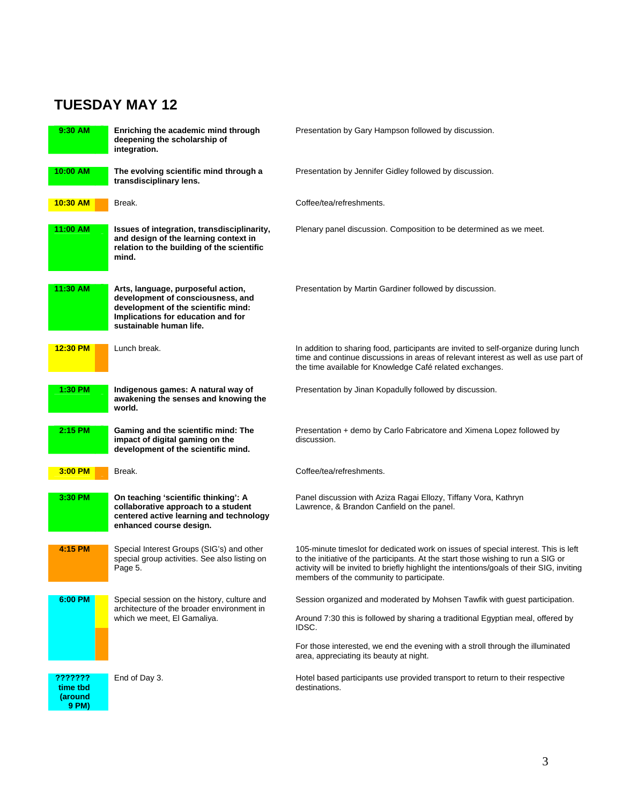# **TUESDAY MAY 12**

| 9:30 AM                                 | Enriching the academic mind through<br>deepening the scholarship of<br>integration.                                                                                             | Presentation by Gary Hampson followed by discussion.                                                                                                                                                                                                                                                             |
|-----------------------------------------|---------------------------------------------------------------------------------------------------------------------------------------------------------------------------------|------------------------------------------------------------------------------------------------------------------------------------------------------------------------------------------------------------------------------------------------------------------------------------------------------------------|
| 10:00 AM                                | The evolving scientific mind through a<br>transdisciplinary lens.                                                                                                               | Presentation by Jennifer Gidley followed by discussion.                                                                                                                                                                                                                                                          |
| 10:30 AM                                | Break.                                                                                                                                                                          | Coffee/tea/refreshments.                                                                                                                                                                                                                                                                                         |
| 11:00 AM                                | Issues of integration, transdisciplinarity,<br>and design of the learning context in<br>relation to the building of the scientific<br>mind.                                     | Plenary panel discussion. Composition to be determined as we meet.                                                                                                                                                                                                                                               |
| 11:30 AM                                | Arts, language, purposeful action,<br>development of consciousness, and<br>development of the scientific mind:<br>Implications for education and for<br>sustainable human life. | Presentation by Martin Gardiner followed by discussion.                                                                                                                                                                                                                                                          |
| $12:30$ PM                              | Lunch break.                                                                                                                                                                    | In addition to sharing food, participants are invited to self-organize during lunch<br>time and continue discussions in areas of relevant interest as well as use part of<br>the time available for Knowledge Café related exchanges.                                                                            |
| 1:30 PM                                 | Indigenous games: A natural way of<br>awakening the senses and knowing the<br>world.                                                                                            | Presentation by Jinan Kopadully followed by discussion.                                                                                                                                                                                                                                                          |
| 2:15 PM                                 | Gaming and the scientific mind: The<br>impact of digital gaming on the<br>development of the scientific mind.                                                                   | Presentation + demo by Carlo Fabricatore and Ximena Lopez followed by<br>discussion.                                                                                                                                                                                                                             |
| $3:00$ PM                               | Break.                                                                                                                                                                          | Coffee/tea/refreshments.                                                                                                                                                                                                                                                                                         |
| 3:30 PM                                 | On teaching 'scientific thinking': A<br>collaborative approach to a student<br>centered active learning and technology<br>enhanced course design.                               | Panel discussion with Aziza Ragai Ellozy, Tiffany Vora, Kathryn<br>Lawrence, & Brandon Canfield on the panel.                                                                                                                                                                                                    |
| 4:15 PM                                 | Special Interest Groups (SIG's) and other<br>special group activities. See also listing on<br>Page 5.                                                                           | 105-minute timeslot for dedicated work on issues of special interest. This is left<br>to the initiative of the participants. At the start those wishing to run a SIG or<br>activity will be invited to briefly highlight the intentions/goals of their SIG, inviting<br>members of the community to participate. |
| 6:00 PM                                 | Special session on the history, culture and<br>architecture of the broader environment in                                                                                       | Session organized and moderated by Mohsen Tawfik with quest participation.                                                                                                                                                                                                                                       |
|                                         | which we meet, El Gamaliya.                                                                                                                                                     | Around 7:30 this is followed by sharing a traditional Egyptian meal, offered by<br>IDSC.                                                                                                                                                                                                                         |
|                                         |                                                                                                                                                                                 | For those interested, we end the evening with a stroll through the illuminated<br>area, appreciating its beauty at night.                                                                                                                                                                                        |
| ???????<br>time tbd<br>(around<br>9 PM) | End of Day 3.                                                                                                                                                                   | Hotel based participants use provided transport to return to their respective<br>destinations.                                                                                                                                                                                                                   |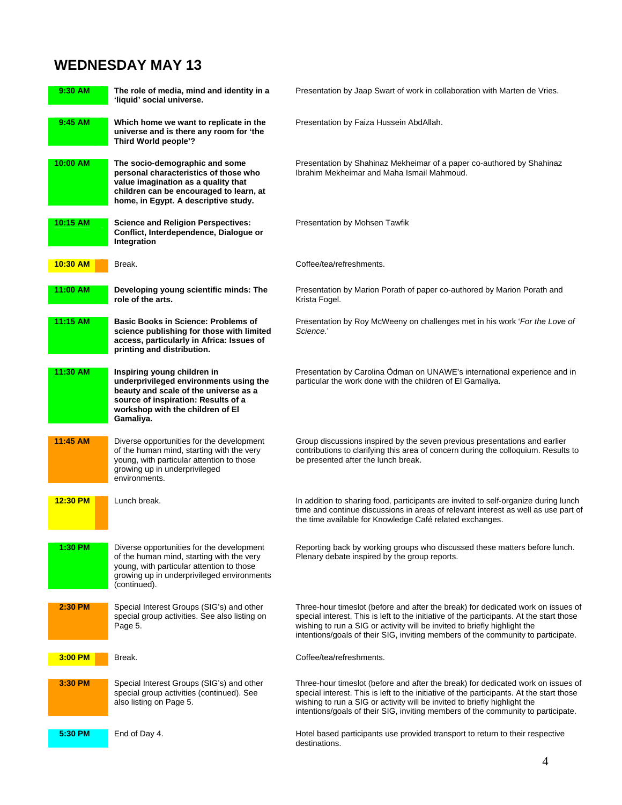# **WEDNESDAY MAY 13**

| 9:30 AM    | The role of media, mind and identity in a<br>'liquid' social universe.                                                                                                                                 | Presentation by Jaap Swart of work in collaboration with Marten de Vries.                                                                                                                                                                                                                                                                     |
|------------|--------------------------------------------------------------------------------------------------------------------------------------------------------------------------------------------------------|-----------------------------------------------------------------------------------------------------------------------------------------------------------------------------------------------------------------------------------------------------------------------------------------------------------------------------------------------|
| 9:45 AM    | Which home we want to replicate in the<br>universe and is there any room for 'the<br>Third World people'?                                                                                              | Presentation by Faiza Hussein AbdAllah.                                                                                                                                                                                                                                                                                                       |
| 10:00 AM   | The socio-demographic and some<br>personal characteristics of those who<br>value imagination as a quality that<br>children can be encouraged to learn, at<br>home, in Egypt. A descriptive study.      | Presentation by Shahinaz Mekheimar of a paper co-authored by Shahinaz<br>Ibrahim Mekheimar and Maha Ismail Mahmoud.                                                                                                                                                                                                                           |
| 10:15 AM   | <b>Science and Religion Perspectives:</b><br>Conflict, Interdependence, Dialogue or<br>Integration                                                                                                     | Presentation by Mohsen Tawfik                                                                                                                                                                                                                                                                                                                 |
| $10:30$ AM | Break.                                                                                                                                                                                                 | Coffee/tea/refreshments.                                                                                                                                                                                                                                                                                                                      |
| 11:00 AM   | Developing young scientific minds: The<br>role of the arts.                                                                                                                                            | Presentation by Marion Porath of paper co-authored by Marion Porath and<br>Krista Fogel.                                                                                                                                                                                                                                                      |
| 11:15 AM   | <b>Basic Books in Science: Problems of</b><br>science publishing for those with limited<br>access, particularly in Africa: Issues of<br>printing and distribution.                                     | Presentation by Roy McWeeny on challenges met in his work 'For the Love of<br>Science.'                                                                                                                                                                                                                                                       |
| 11:30 AM   | Inspiring young children in<br>underprivileged environments using the<br>beauty and scale of the universe as a<br>source of inspiration: Results of a<br>workshop with the children of El<br>Gamaliya. | Presentation by Carolina Ödman on UNAWE's international experience and in<br>particular the work done with the children of El Gamaliya.                                                                                                                                                                                                       |
| 11:45 AM   | Diverse opportunities for the development<br>of the human mind, starting with the very<br>young, with particular attention to those<br>growing up in underprivileged<br>environments.                  | Group discussions inspired by the seven previous presentations and earlier<br>contributions to clarifying this area of concern during the colloquium. Results to<br>be presented after the lunch break.                                                                                                                                       |
| $12:30$ PM | Lunch break.                                                                                                                                                                                           | In addition to sharing food, participants are invited to self-organize during lunch<br>time and continue discussions in areas of relevant interest as well as use part of<br>the time available for Knowledge Café related exchanges.                                                                                                         |
| 1:30 PM    | Diverse opportunities for the development<br>of the human mind, starting with the very<br>young, with particular attention to those<br>growing up in underprivileged environments<br>(continued).      | Reporting back by working groups who discussed these matters before lunch.<br>Plenary debate inspired by the group reports.                                                                                                                                                                                                                   |
| 2:30 PM    | Special Interest Groups (SIG's) and other<br>special group activities. See also listing on<br>Page 5.                                                                                                  | Three-hour timeslot (before and after the break) for dedicated work on issues of<br>special interest. This is left to the initiative of the participants. At the start those<br>wishing to run a SIG or activity will be invited to briefly highlight the<br>intentions/goals of their SIG, inviting members of the community to participate. |
| 3:00 PM    | Break.                                                                                                                                                                                                 | Coffee/tea/refreshments.                                                                                                                                                                                                                                                                                                                      |
| 3:30 PM    | Special Interest Groups (SIG's) and other<br>special group activities (continued). See<br>also listing on Page 5.                                                                                      | Three-hour timeslot (before and after the break) for dedicated work on issues of<br>special interest. This is left to the initiative of the participants. At the start those<br>wishing to run a SIG or activity will be invited to briefly highlight the<br>intentions/goals of their SIG, inviting members of the community to participate. |
| 5:30 PM    | End of Day 4.                                                                                                                                                                                          | Hotel based participants use provided transport to return to their respective<br>destinations.                                                                                                                                                                                                                                                |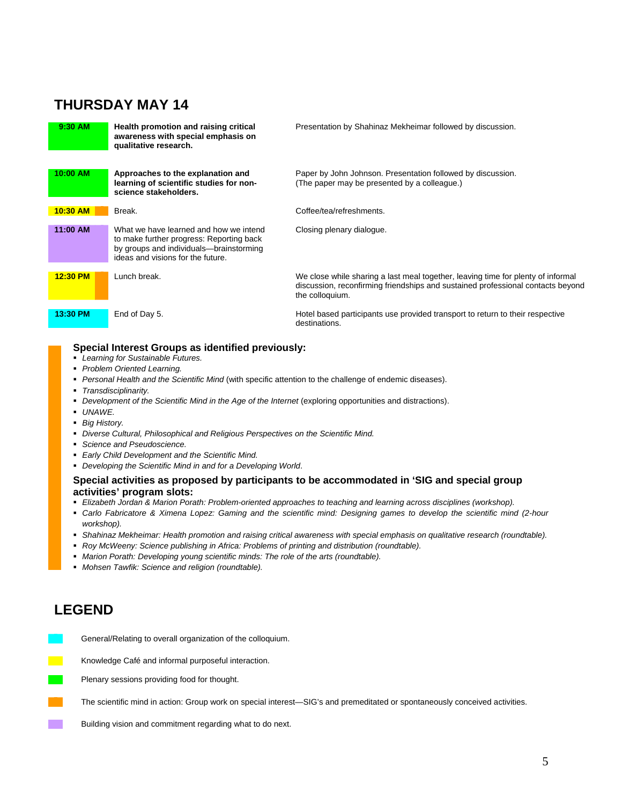### **THURSDAY MAY 14**



#### **Special Interest Groups as identified previously:**

- *Learning for Sustainable Futures.*
- *Problem Oriented Learning.*
- *Personal Health and the Scientific Mind* (with specific attention to the challenge of endemic diseases).
- *Transdisciplinarity.*
- Development of the Scientific Mind in the Age of the Internet (exploring opportunities and distractions).
- *UNAWE.*
- *Big History.*
- *Diverse Cultural, Philosophical and Religious Perspectives on the Scientific Mind.*
- *Science and Pseudoscience.*
- *Early Child Development and the Scientific Mind.*
- *Developing the Scientific Mind in and for a Developing World*.

#### **Special activities as proposed by participants to be accommodated in 'SIG and special group activities' program slots:**

- **Elizabeth Jordan & Marion Porath: Problem-oriented approaches to teaching and learning across disciplines (workshop).**
- *Carlo Fabricatore & Ximena Lopez: Gaming and the scientific mind: Designing games to develop the scientific mind (2-hour workshop).*
- *Shahinaz Mekheimar: Health promotion and raising critical awareness with special emphasis on qualitative research (roundtable).*
- **Roy McWeeny: Science publishing in Africa: Problems of printing and distribution (roundtable).**
- *Marion Porath: Developing young scientific minds: The role of the arts (roundtable).*
- *Mohsen Tawfik: Science and religion (roundtable).*

# **LEGEND**

- General/Relating to overall organization of the colloquium.
- Knowledge Café and informal purposeful interaction.
- Plenary sessions providing food for thought.
- The scientific mind in action: Group work on special interest—SIG's and premeditated or spontaneously conceived activities.
- Building vision and commitment regarding what to do next.